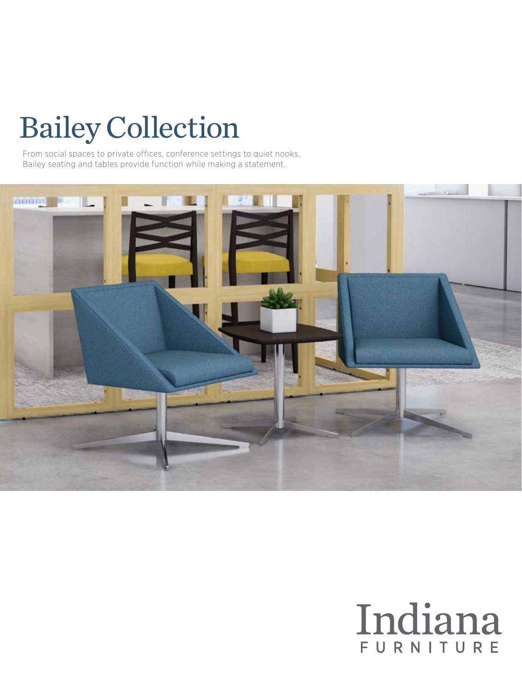# Bailey Collection

From social spaces to private offices, conference settings to quiet nooks, Bailey seating and tables provide function while making a statement.



## Indiana FURNITURE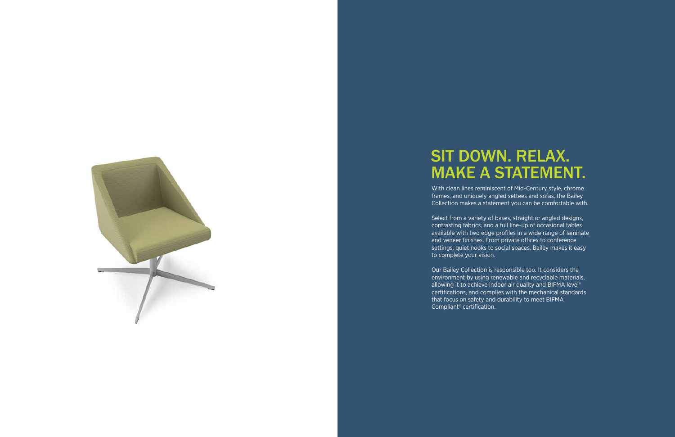With clean lines reminiscent of Mid-Century style, chrome frames, and uniquely angled settees and sofas, the Bailey Collection makes a statement you can be comfortable with.

Select from a variety of bases, straight or angled designs, contrasting fabrics, and a full line-up of occasional tables available with two edge profiles in a wide range of laminate and veneer finishes. From private offices to conference settings, quiet nooks to social spaces, Bailey makes it easy to complete your vision.

Our Bailey Collection is responsible too. It considers the environment by using renewable and recyclable materials, allowing it to achieve indoor air quality and BIFMA level<sup>®</sup> certifications, and complies with the mechanical standards that focus on safety and durability to meet BIFMA

Compliant® certification.



### SIT DOWN. RELAX. MAKE A STATEMENT.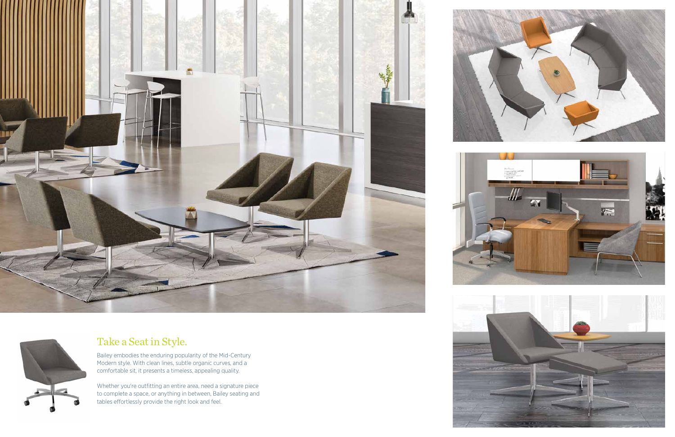



#### Take a Seat in Style.

Bailey embodies the enduring popularity of the Mid-Century Modern style. With clean lines, subtle organic curves, and a comfortable sit, it presents a timeless, appealing quality.

Whether you're outfitting an entire area, need a signature piece to complete a space, or anything in between, Bailey seating and tables effortlessly provide the right look and feel.



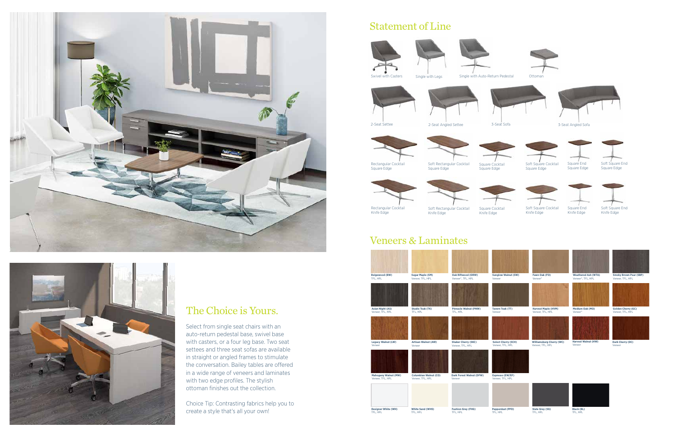#### Statement of Line



with Casters Single with Legs Single with Auto-Return Pedestal Ottoma





2-Seat Settee 2-Seat Angled Settee 3-Seat Sofa 3-Seat Angled Sofa



Square Edge

Knife Edge



Square Cocktail





Square End Square Edge



Rectangular Cocktail Knife Edge

Soft Rectangular Cocktail Square Cocktail Knife Edge

Soft Square Cocktail Knife Edge

Square End

Knife Edge



#### Veneers & Laminates





#### The Choice is Yours.

Select from single seat chairs with an auto-return pedestal base, swivel base with casters, or a four leg base. Two seat settees and three seat sofas are available in straight or angled frames to stimulate the conversation. Bailey tables are offered in a wide range of veneers and laminates with two edge profiles. The stylish ottoman finishes out the collection.

Choice Tip: Contrasting fabrics help you to create a style that's all your own!



**Sunglow Walnut (SW)**



**Weathered Ash (WTA)** Veneer\*, TFL, HPL





**Medium Oak (MO)** Veneer\*

**Golden Cherry (GC)** Veneer, TFL, HPL



**Harvest Maple (HVM)** Veneer, TFL, HPL

Williamsburg Cherry (WC) Harvest Walnut (HW)<br>Veneer, TFL, HPL Veneer





| <b>Beigewood (BW)</b>       | <b>Sugar Maple (SM)</b>      | Oak Riftwood (ORW)              | <b>Sunglow Walnut (SV</b>  |
|-----------------------------|------------------------------|---------------------------------|----------------------------|
| TFL, HPL                    | Veneer, TFL, HPL             | Veneer*, TFL, HPL               | Veneer                     |
|                             |                              |                                 |                            |
| <b>Asian Night (AS)</b>     | <b>Studio Teak (TK)</b>      | <b>Pinnacle Walnut (PNW)</b>    | <b>Tavern Teak (TT)</b>    |
| Veneer, TFL, HPL            | TFL, HPL                     | TFL, HPL                        | Veneer                     |
|                             |                              |                                 |                            |
| <b>Legacy Walnut (LW)</b>   | Artisan Walnut (AW)          | <b>Shaker Cherry (SKC)</b>      | <b>Select Cherry (SCH)</b> |
| Veneer                      | Veneer                       | Veneer, TFL, HPL                | Veneer, TFL, HPL           |
|                             |                              |                                 |                            |
| <b>Mahogany Walnut (MW)</b> | <b>Columbian Walnut (CO)</b> | <b>Dark Forest Walnut (DFW)</b> | <b>Espresso (EW/EF)</b>    |
| Veneer, TFL, HPL            | Veneer, TFL, HPL             | Veneer                          | Veneer, TFL, HPL           |
|                             |                              |                                 |                            |
| <b>Designer White (WH)</b>  | <b>White Sand (WHS)</b>      | <b>Fashion Grey (FHG)</b>       | <b>Pepperdust (PPD)</b>    |
| TFL, HPL                    | TFL, HPL                     | TFL, HPL                        | TFL, HPL                   |









**Dark Cherry (DC)** Veneer